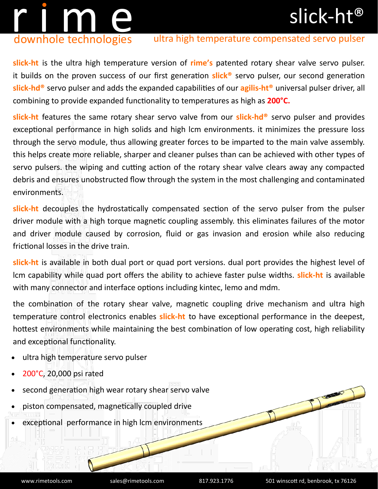## slick-ht®

# r i m en downhole technologies

### ultra high temperature compensated servo pulser

**slick-ht** is the ultra high temperature version of **rime's** patented rotary shear valve servo pulser. it builds on the proven success of our first generation **slick®** servo pulser, our second generation **slick-hd®** servo pulser and adds the expanded capabilities of our **agilis-ht®** universal pulser driver, all combining to provide expanded functionality to temperatures as high as **200°C.**

**slick-ht** features the same rotary shear servo valve from our **slick-hd®** servo pulser and provides exceptional performance in high solids and high lcm environments. it minimizes the pressure loss through the servo module, thus allowing greater forces to be imparted to the main valve assembly. this helps create more reliable, sharper and cleaner pulses than can be achieved with other types of servo pulsers. the wiping and cutting action of the rotary shear valve clears away any compacted debris and ensures unobstructed flow through the system in the most challenging and contaminated environments.

**slick-ht** decouples the hydrostatically compensated section of the servo pulser from the pulser driver module with a high torque magnetic coupling assembly. this eliminates failures of the motor and driver module caused by corrosion, fluid or gas invasion and erosion while also reducing frictional losses in the drive train.

**slick-ht** is available in both dual port or quad port versions. dual port provides the highest level of lcm capability while quad port offers the ability to achieve faster pulse widths. **slick-ht** is available with many connector and interface options including kintec, lemo and mdm.

the combination of the rotary shear valve, magnetic coupling drive mechanism and ultra high temperature control electronics enables **slick-ht** to have exceptional performance in the deepest, hottest environments while maintaining the best combination of low operating cost, high reliability and exceptional functionality.

- ultra high temperature servo pulser
- 200°C, 20,000 psi rated
- second generation high wear rotary shear servo valve
- piston compensated, magnetically coupled drive
- exceptional performance in high lcm environments